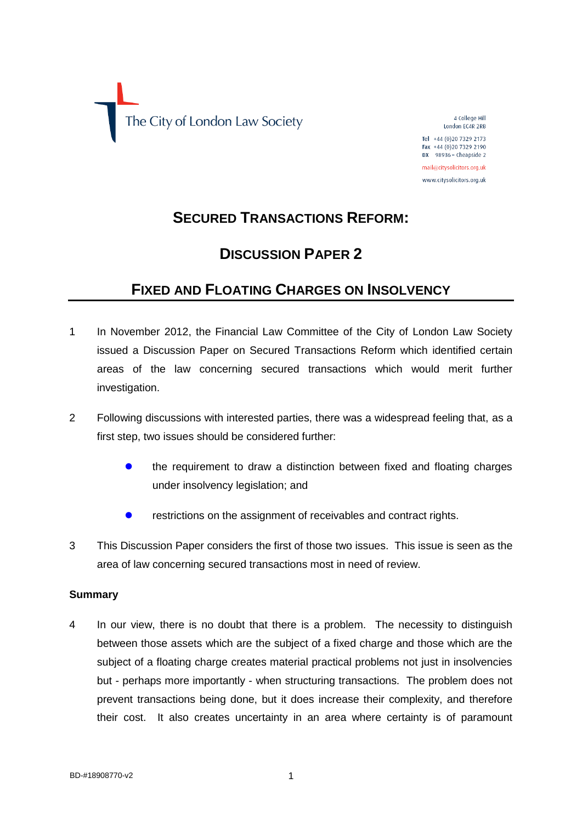

4 College Hill London EC4R 2RB

Tel +44 (0) 20 7329 2173 Fax +44 (0)20 7329 2190 DX 98936 - Cheapside 2

mail@citysolicitors.org.uk www.citysolicitors.org.uk

# **SECURED TRANSACTIONS REFORM:**

# **DISCUSSION PAPER 2**

# **FIXED AND FLOATING CHARGES ON INSOLVENCY**

- 1 In November 2012, the Financial Law Committee of the City of London Law Society issued a Discussion Paper on Secured Transactions Reform which identified certain areas of the law concerning secured transactions which would merit further investigation.
- 2 Following discussions with interested parties, there was a widespread feeling that, as a first step, two issues should be considered further:
	- **•** the requirement to draw a distinction between fixed and floating charges under insolvency legislation; and
	- **•** restrictions on the assignment of receivables and contract rights.
- 3 This Discussion Paper considers the first of those two issues. This issue is seen as the area of law concerning secured transactions most in need of review.

### **Summary**

4 In our view, there is no doubt that there is a problem. The necessity to distinguish between those assets which are the subject of a fixed charge and those which are the subject of a floating charge creates material practical problems not just in insolvencies but - perhaps more importantly - when structuring transactions. The problem does not prevent transactions being done, but it does increase their complexity, and therefore their cost. It also creates uncertainty in an area where certainty is of paramount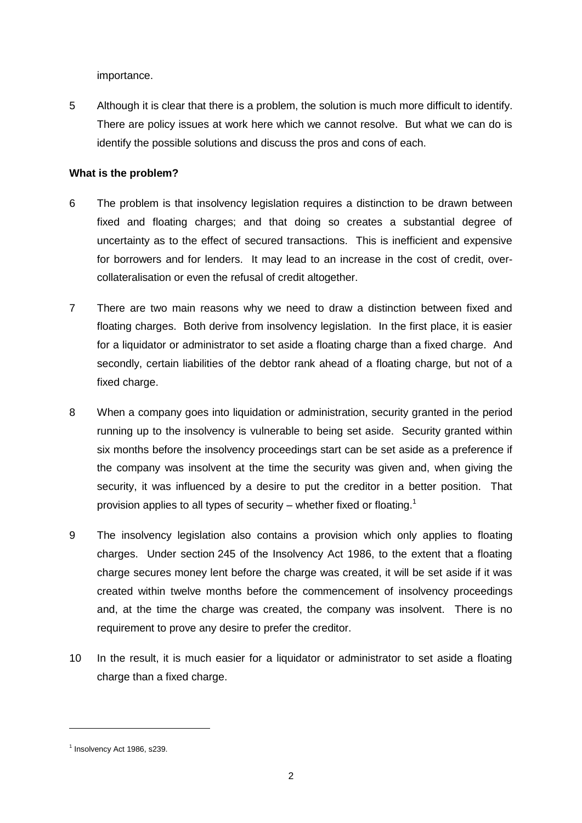importance.

5 Although it is clear that there is a problem, the solution is much more difficult to identify. There are policy issues at work here which we cannot resolve. But what we can do is identify the possible solutions and discuss the pros and cons of each.

### **What is the problem?**

- 6 The problem is that insolvency legislation requires a distinction to be drawn between fixed and floating charges; and that doing so creates a substantial degree of uncertainty as to the effect of secured transactions. This is inefficient and expensive for borrowers and for lenders. It may lead to an increase in the cost of credit, overcollateralisation or even the refusal of credit altogether.
- 7 There are two main reasons why we need to draw a distinction between fixed and floating charges. Both derive from insolvency legislation. In the first place, it is easier for a liquidator or administrator to set aside a floating charge than a fixed charge. And secondly, certain liabilities of the debtor rank ahead of a floating charge, but not of a fixed charge.
- 8 When a company goes into liquidation or administration, security granted in the period running up to the insolvency is vulnerable to being set aside. Security granted within six months before the insolvency proceedings start can be set aside as a preference if the company was insolvent at the time the security was given and, when giving the security, it was influenced by a desire to put the creditor in a better position. That provision applies to all types of security – whether fixed or floating.<sup>1</sup>
- 9 The insolvency legislation also contains a provision which only applies to floating charges. Under section 245 of the Insolvency Act 1986, to the extent that a floating charge secures money lent before the charge was created, it will be set aside if it was created within twelve months before the commencement of insolvency proceedings and, at the time the charge was created, the company was insolvent. There is no requirement to prove any desire to prefer the creditor.
- 10 In the result, it is much easier for a liquidator or administrator to set aside a floating charge than a fixed charge.

 $<sup>1</sup>$  Insolvency Act 1986, s239.</sup>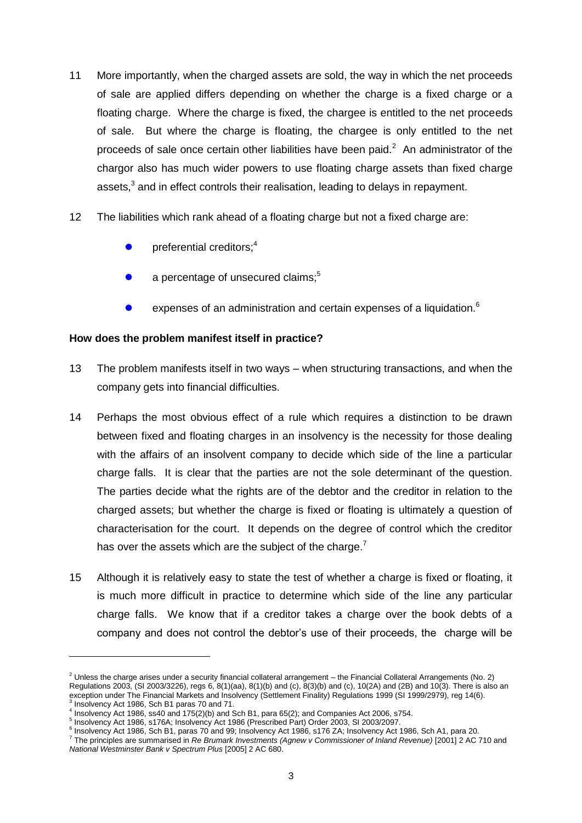- 11 More importantly, when the charged assets are sold, the way in which the net proceeds of sale are applied differs depending on whether the charge is a fixed charge or a floating charge. Where the charge is fixed, the chargee is entitled to the net proceeds of sale. But where the charge is floating, the chargee is only entitled to the net proceeds of sale once certain other liabilities have been paid. $2$  An administrator of the chargor also has much wider powers to use floating charge assets than fixed charge assets, $^3$  and in effect controls their realisation, leading to delays in repayment.
- 12 The liabilities which rank ahead of a floating charge but not a fixed charge are:
	- preferential creditors;<sup>4</sup>
	- a percentage of unsecured claims;<sup>5</sup>
	- expenses of an administration and certain expenses of a liquidation.<sup>6</sup>

### **How does the problem manifest itself in practice?**

- 13 The problem manifests itself in two ways when structuring transactions, and when the company gets into financial difficulties.
- 14 Perhaps the most obvious effect of a rule which requires a distinction to be drawn between fixed and floating charges in an insolvency is the necessity for those dealing with the affairs of an insolvent company to decide which side of the line a particular charge falls. It is clear that the parties are not the sole determinant of the question. The parties decide what the rights are of the debtor and the creditor in relation to the charged assets; but whether the charge is fixed or floating is ultimately a question of characterisation for the court. It depends on the degree of control which the creditor has over the assets which are the subject of the charge.<sup>7</sup>
- 15 Although it is relatively easy to state the test of whether a charge is fixed or floating, it is much more difficult in practice to determine which side of the line any particular charge falls. We know that if a creditor takes a charge over the book debts of a company and does not control the debtor's use of their proceeds, the charge will be

 $2$  Unless the charge arises under a security financial collateral arrangement – the Financial Collateral Arrangements (No. 2) Regulations 2003, (SI 2003/3226), regs 6, 8(1)(aa), 8(1)(b) and (c), 8(3)(b) and (c), 10(2A) and (2B) and 10(3). There is also an exception under The Financial Markets and Insolvency (Settlement Finality) Regulations 1999 (SI 1999/2979), reg 14(6).

<sup>3</sup> Insolvency Act 1986, Sch B1 paras 70 and 71.

<sup>4</sup> Insolvency Act 1986, ss40 and 175(2)(b) and Sch B1, para 65(2); and Companies Act 2006, s754.

<sup>5</sup> Insolvency Act 1986, s176A; Insolvency Act 1986 (Prescribed Part) Order 2003, SI 2003/2097.

<sup>6</sup> Insolvency Act 1986, Sch B1, paras 70 and 99; Insolvency Act 1986, s176 ZA; Insolvency Act 1986, Sch A1, para 20.

<sup>7</sup> The principles are summarised in *Re Brumark Investments (Agnew v Commissioner of Inland Revenue)* [2001] 2 AC 710 and *National Westminster Bank v Spectrum Plus* [2005] 2 AC 680.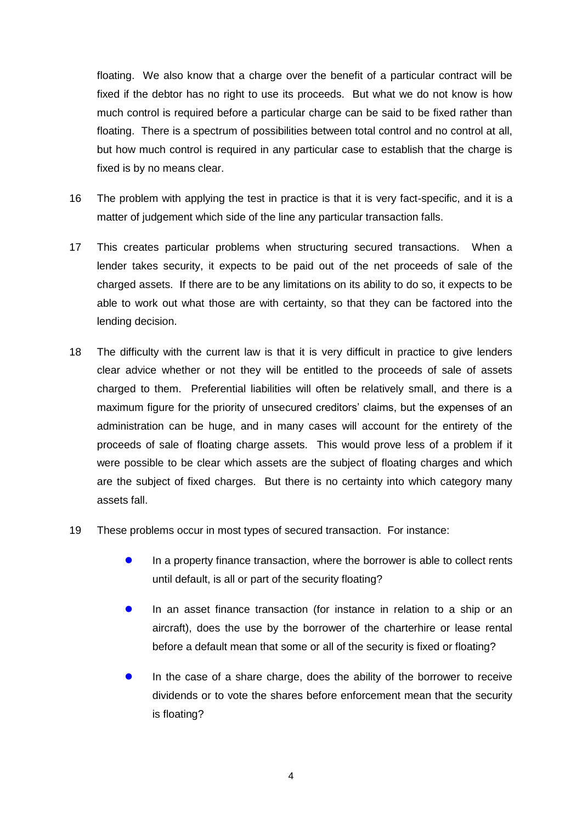floating. We also know that a charge over the benefit of a particular contract will be fixed if the debtor has no right to use its proceeds. But what we do not know is how much control is required before a particular charge can be said to be fixed rather than floating. There is a spectrum of possibilities between total control and no control at all, but how much control is required in any particular case to establish that the charge is fixed is by no means clear.

- 16 The problem with applying the test in practice is that it is very fact-specific, and it is a matter of judgement which side of the line any particular transaction falls.
- 17 This creates particular problems when structuring secured transactions. When a lender takes security, it expects to be paid out of the net proceeds of sale of the charged assets. If there are to be any limitations on its ability to do so, it expects to be able to work out what those are with certainty, so that they can be factored into the lending decision.
- 18 The difficulty with the current law is that it is very difficult in practice to give lenders clear advice whether or not they will be entitled to the proceeds of sale of assets charged to them. Preferential liabilities will often be relatively small, and there is a maximum figure for the priority of unsecured creditors' claims, but the expenses of an administration can be huge, and in many cases will account for the entirety of the proceeds of sale of floating charge assets. This would prove less of a problem if it were possible to be clear which assets are the subject of floating charges and which are the subject of fixed charges. But there is no certainty into which category many assets fall.
- 19 These problems occur in most types of secured transaction. For instance:
	- **In a property finance transaction, where the borrower is able to collect rents** until default, is all or part of the security floating?
	- **In an asset finance transaction (for instance in relation to a ship or an** aircraft), does the use by the borrower of the charterhire or lease rental before a default mean that some or all of the security is fixed or floating?
	- In the case of a share charge, does the ability of the borrower to receive dividends or to vote the shares before enforcement mean that the security is floating?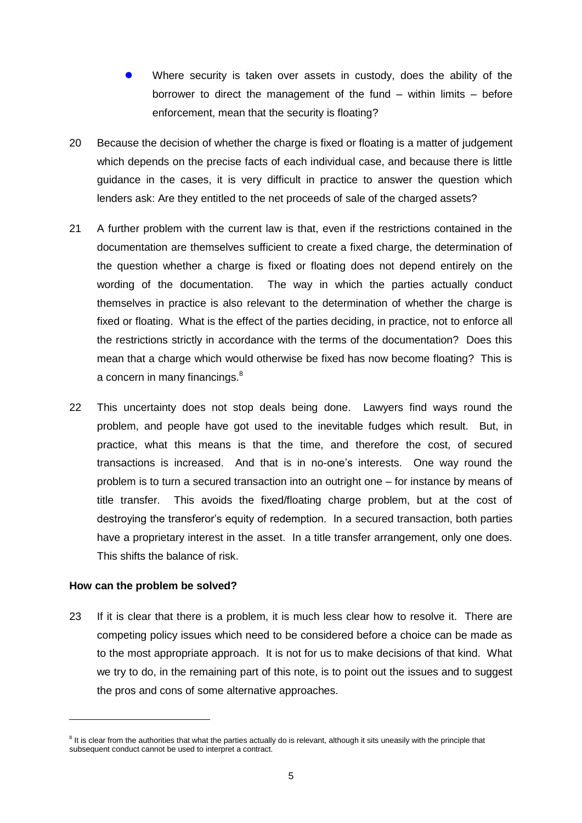- Where security is taken over assets in custody, does the ability of the borrower to direct the management of the fund – within limits – before enforcement, mean that the security is floating?
- 20 Because the decision of whether the charge is fixed or floating is a matter of judgement which depends on the precise facts of each individual case, and because there is little guidance in the cases, it is very difficult in practice to answer the question which lenders ask: Are they entitled to the net proceeds of sale of the charged assets?
- 21 A further problem with the current law is that, even if the restrictions contained in the documentation are themselves sufficient to create a fixed charge, the determination of the question whether a charge is fixed or floating does not depend entirely on the wording of the documentation. The way in which the parties actually conduct themselves in practice is also relevant to the determination of whether the charge is fixed or floating. What is the effect of the parties deciding, in practice, not to enforce all the restrictions strictly in accordance with the terms of the documentation? Does this mean that a charge which would otherwise be fixed has now become floating? This is a concern in many financings.<sup>8</sup>
- 22 This uncertainty does not stop deals being done. Lawyers find ways round the problem, and people have got used to the inevitable fudges which result. But, in practice, what this means is that the time, and therefore the cost, of secured transactions is increased. And that is in no-one's interests. One way round the problem is to turn a secured transaction into an outright one – for instance by means of title transfer. This avoids the fixed/floating charge problem, but at the cost of destroying the transferor's equity of redemption. In a secured transaction, both parties have a proprietary interest in the asset. In a title transfer arrangement, only one does. This shifts the balance of risk.

#### **How can the problem be solved?**

l

23 If it is clear that there is a problem, it is much less clear how to resolve it. There are competing policy issues which need to be considered before a choice can be made as to the most appropriate approach. It is not for us to make decisions of that kind. What we try to do, in the remaining part of this note, is to point out the issues and to suggest the pros and cons of some alternative approaches.

 $8$  It is clear from the authorities that what the parties actually do is relevant, although it sits uneasily with the principle that subsequent conduct cannot be used to interpret a contract.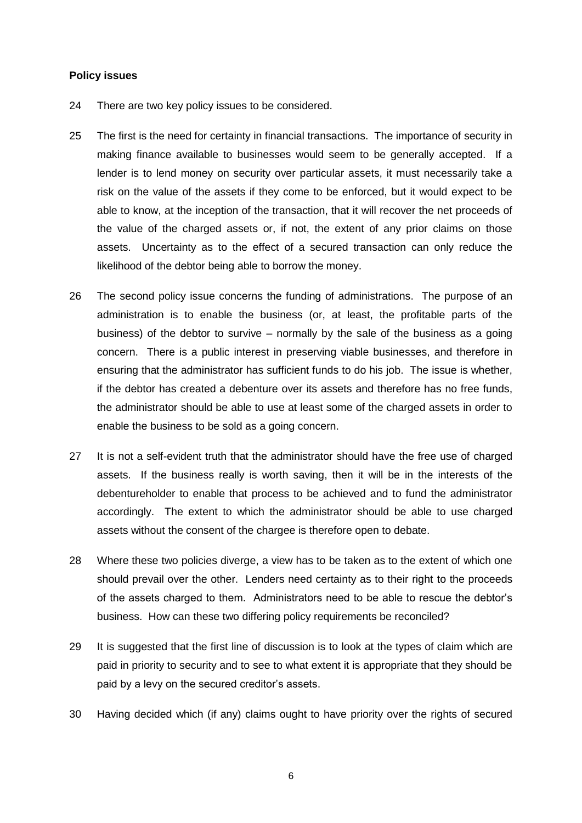#### **Policy issues**

- 24 There are two key policy issues to be considered.
- 25 The first is the need for certainty in financial transactions. The importance of security in making finance available to businesses would seem to be generally accepted. If a lender is to lend money on security over particular assets, it must necessarily take a risk on the value of the assets if they come to be enforced, but it would expect to be able to know, at the inception of the transaction, that it will recover the net proceeds of the value of the charged assets or, if not, the extent of any prior claims on those assets. Uncertainty as to the effect of a secured transaction can only reduce the likelihood of the debtor being able to borrow the money.
- 26 The second policy issue concerns the funding of administrations. The purpose of an administration is to enable the business (or, at least, the profitable parts of the business) of the debtor to survive – normally by the sale of the business as a going concern. There is a public interest in preserving viable businesses, and therefore in ensuring that the administrator has sufficient funds to do his job. The issue is whether, if the debtor has created a debenture over its assets and therefore has no free funds, the administrator should be able to use at least some of the charged assets in order to enable the business to be sold as a going concern.
- 27 It is not a self-evident truth that the administrator should have the free use of charged assets. If the business really is worth saving, then it will be in the interests of the debentureholder to enable that process to be achieved and to fund the administrator accordingly. The extent to which the administrator should be able to use charged assets without the consent of the chargee is therefore open to debate.
- 28 Where these two policies diverge, a view has to be taken as to the extent of which one should prevail over the other. Lenders need certainty as to their right to the proceeds of the assets charged to them. Administrators need to be able to rescue the debtor's business. How can these two differing policy requirements be reconciled?
- 29 It is suggested that the first line of discussion is to look at the types of claim which are paid in priority to security and to see to what extent it is appropriate that they should be paid by a levy on the secured creditor's assets.
- 30 Having decided which (if any) claims ought to have priority over the rights of secured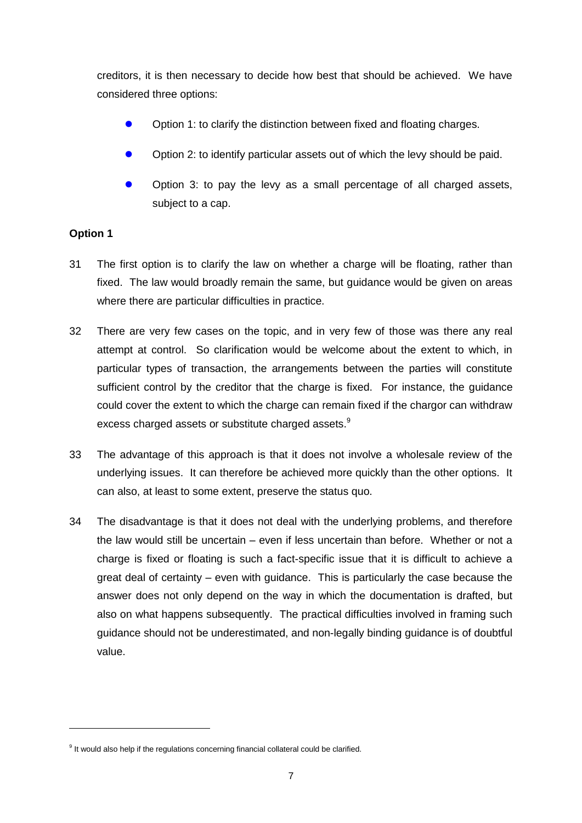creditors, it is then necessary to decide how best that should be achieved. We have considered three options:

- Option 1: to clarify the distinction between fixed and floating charges.
- Option 2: to identify particular assets out of which the levy should be paid.
- Option 3: to pay the levy as a small percentage of all charged assets, subject to a cap.

## **Option 1**

- 31 The first option is to clarify the law on whether a charge will be floating, rather than fixed. The law would broadly remain the same, but guidance would be given on areas where there are particular difficulties in practice.
- 32 There are very few cases on the topic, and in very few of those was there any real attempt at control. So clarification would be welcome about the extent to which, in particular types of transaction, the arrangements between the parties will constitute sufficient control by the creditor that the charge is fixed. For instance, the guidance could cover the extent to which the charge can remain fixed if the chargor can withdraw excess charged assets or substitute charged assets.<sup>9</sup>
- 33 The advantage of this approach is that it does not involve a wholesale review of the underlying issues. It can therefore be achieved more quickly than the other options. It can also, at least to some extent, preserve the status quo.
- 34 The disadvantage is that it does not deal with the underlying problems, and therefore the law would still be uncertain – even if less uncertain than before. Whether or not a charge is fixed or floating is such a fact-specific issue that it is difficult to achieve a great deal of certainty – even with guidance. This is particularly the case because the answer does not only depend on the way in which the documentation is drafted, but also on what happens subsequently. The practical difficulties involved in framing such guidance should not be underestimated, and non-legally binding guidance is of doubtful value.

<sup>&</sup>lt;sup>9</sup> It would also help if the regulations concerning financial collateral could be clarified.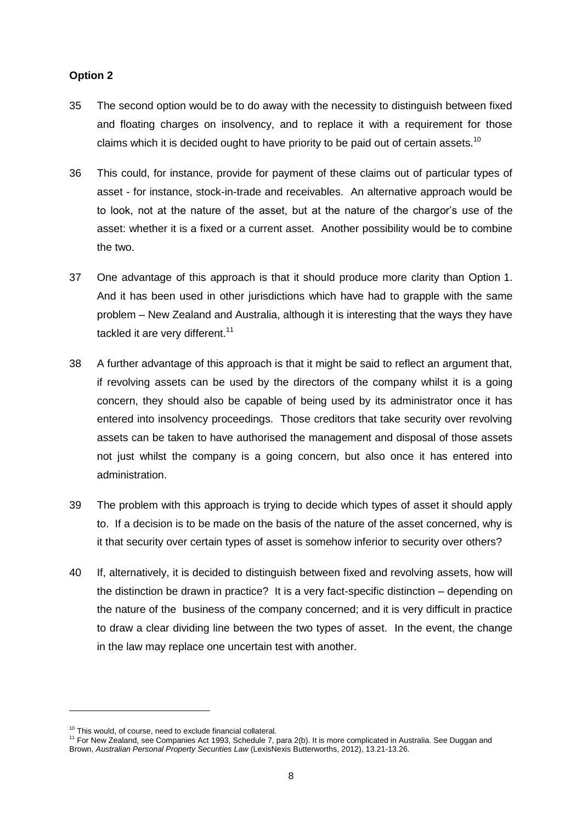## **Option 2**

- 35 The second option would be to do away with the necessity to distinguish between fixed and floating charges on insolvency, and to replace it with a requirement for those claims which it is decided ought to have priority to be paid out of certain assets.<sup>10</sup>
- 36 This could, for instance, provide for payment of these claims out of particular types of asset - for instance, stock-in-trade and receivables. An alternative approach would be to look, not at the nature of the asset, but at the nature of the chargor's use of the asset: whether it is a fixed or a current asset. Another possibility would be to combine the two.
- 37 One advantage of this approach is that it should produce more clarity than Option 1. And it has been used in other jurisdictions which have had to grapple with the same problem – New Zealand and Australia, although it is interesting that the ways they have tackled it are very different.<sup>11</sup>
- 38 A further advantage of this approach is that it might be said to reflect an argument that, if revolving assets can be used by the directors of the company whilst it is a going concern, they should also be capable of being used by its administrator once it has entered into insolvency proceedings. Those creditors that take security over revolving assets can be taken to have authorised the management and disposal of those assets not just whilst the company is a going concern, but also once it has entered into administration.
- 39 The problem with this approach is trying to decide which types of asset it should apply to. If a decision is to be made on the basis of the nature of the asset concerned, why is it that security over certain types of asset is somehow inferior to security over others?
- 40 If, alternatively, it is decided to distinguish between fixed and revolving assets, how will the distinction be drawn in practice? It is a very fact-specific distinction – depending on the nature of the business of the company concerned; and it is very difficult in practice to draw a clear dividing line between the two types of asset. In the event, the change in the law may replace one uncertain test with another.

 $10$  This would, of course, need to exclude financial collateral.

<sup>&</sup>lt;sup>11</sup> For New Zealand, see Companies Act 1993, Schedule 7, para 2(b). It is more complicated in Australia. See Duggan and Brown, *Australian Personal Property Securities Law* (LexisNexis Butterworths, 2012), 13.21-13.26.